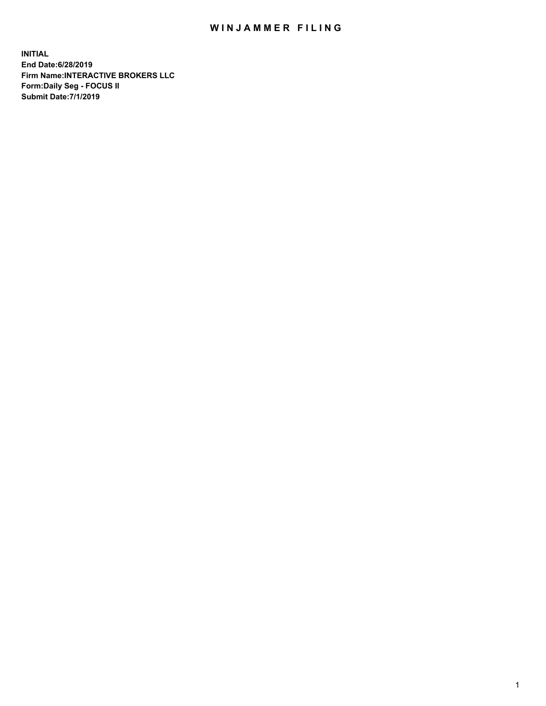## WIN JAMMER FILING

**INITIAL End Date:6/28/2019 Firm Name:INTERACTIVE BROKERS LLC Form:Daily Seg - FOCUS II Submit Date:7/1/2019**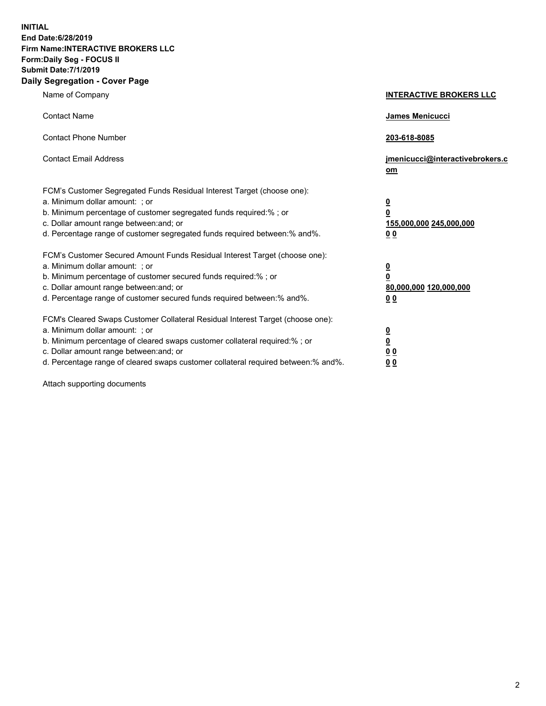**INITIAL End Date:6/28/2019 Firm Name:INTERACTIVE BROKERS LLC Form:Daily Seg - FOCUS II Submit Date:7/1/2019 Daily Segregation - Cover Page**

| Name of Company                                                                                                                                                                                                                                                                                                                | <b>INTERACTIVE BROKERS LLC</b>                                                                  |
|--------------------------------------------------------------------------------------------------------------------------------------------------------------------------------------------------------------------------------------------------------------------------------------------------------------------------------|-------------------------------------------------------------------------------------------------|
| <b>Contact Name</b>                                                                                                                                                                                                                                                                                                            | <b>James Menicucci</b>                                                                          |
| <b>Contact Phone Number</b>                                                                                                                                                                                                                                                                                                    | 203-618-8085                                                                                    |
| <b>Contact Email Address</b>                                                                                                                                                                                                                                                                                                   | jmenicucci@interactivebrokers.c<br>om                                                           |
| FCM's Customer Segregated Funds Residual Interest Target (choose one):<br>a. Minimum dollar amount: ; or<br>b. Minimum percentage of customer segregated funds required:% ; or<br>c. Dollar amount range between: and; or<br>d. Percentage range of customer segregated funds required between:% and%.                         | $\overline{\mathbf{0}}$<br>$\overline{\mathbf{0}}$<br>155,000,000 245,000,000<br>0 <sub>0</sub> |
| FCM's Customer Secured Amount Funds Residual Interest Target (choose one):<br>a. Minimum dollar amount: ; or<br>b. Minimum percentage of customer secured funds required:%; or<br>c. Dollar amount range between: and; or<br>d. Percentage range of customer secured funds required between:% and%.                            | $\frac{0}{0}$<br>80,000,000 120,000,000<br>0 <sub>0</sub>                                       |
| FCM's Cleared Swaps Customer Collateral Residual Interest Target (choose one):<br>a. Minimum dollar amount: ; or<br>b. Minimum percentage of cleared swaps customer collateral required:% ; or<br>c. Dollar amount range between: and; or<br>d. Percentage range of cleared swaps customer collateral required between:% and%. | $\frac{0}{0}$<br>0 <sub>0</sub><br>0 <sub>0</sub>                                               |

Attach supporting documents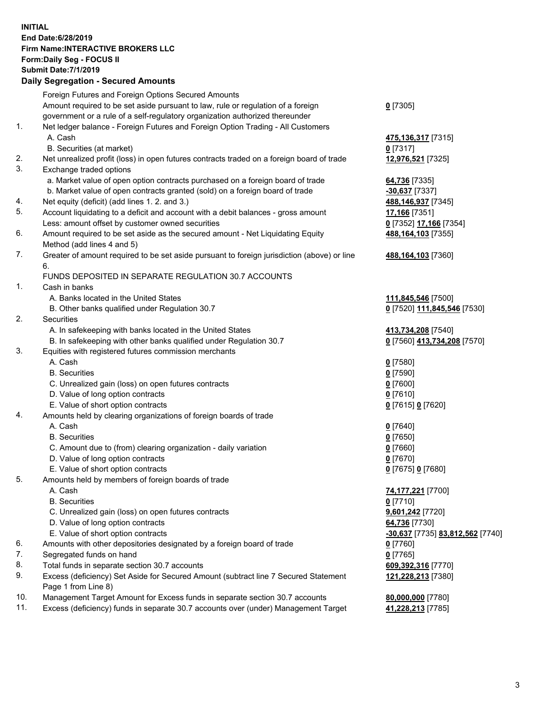**INITIAL End Date:6/28/2019 Firm Name:INTERACTIVE BROKERS LLC Form:Daily Seg - FOCUS II Submit Date:7/1/2019 Daily Segregation - Secured Amounts**

|     | 2011, Ocgi ogation - Oceaned Anioanita                                                                     |                                        |
|-----|------------------------------------------------------------------------------------------------------------|----------------------------------------|
|     | Foreign Futures and Foreign Options Secured Amounts                                                        |                                        |
|     | Amount required to be set aside pursuant to law, rule or regulation of a foreign                           | $0$ [7305]                             |
|     | government or a rule of a self-regulatory organization authorized thereunder                               |                                        |
| 1.  | Net ledger balance - Foreign Futures and Foreign Option Trading - All Customers                            |                                        |
|     | A. Cash                                                                                                    | 475,136,317 [7315]                     |
|     | B. Securities (at market)                                                                                  | $0$ [7317]                             |
| 2.  | Net unrealized profit (loss) in open futures contracts traded on a foreign board of trade                  | 12,976,521 [7325]                      |
| 3.  | Exchange traded options                                                                                    |                                        |
|     | a. Market value of open option contracts purchased on a foreign board of trade                             | 64,736 [7335]                          |
|     | b. Market value of open contracts granted (sold) on a foreign board of trade                               | $-30,637$ [7337]                       |
| 4.  | Net equity (deficit) (add lines 1. 2. and 3.)                                                              | 488,146,937 [7345]                     |
| 5.  | Account liquidating to a deficit and account with a debit balances - gross amount                          | 17,166 [7351]                          |
|     | Less: amount offset by customer owned securities                                                           | 0 [7352] 17,166 [7354]                 |
| 6.  | Amount required to be set aside as the secured amount - Net Liquidating Equity                             | 488, 164, 103 [7355]                   |
|     | Method (add lines 4 and 5)                                                                                 |                                        |
| 7.  | Greater of amount required to be set aside pursuant to foreign jurisdiction (above) or line                | 488, 164, 103 [7360]                   |
|     | 6.                                                                                                         |                                        |
|     | FUNDS DEPOSITED IN SEPARATE REGULATION 30.7 ACCOUNTS                                                       |                                        |
| 1.  | Cash in banks                                                                                              |                                        |
|     | A. Banks located in the United States                                                                      | 111,845,546 [7500]                     |
|     | B. Other banks qualified under Regulation 30.7                                                             | 0 [7520] 111,845,546 [7530]            |
| 2.  | Securities                                                                                                 |                                        |
|     | A. In safekeeping with banks located in the United States                                                  | 413,734,208 [7540]                     |
|     | B. In safekeeping with other banks qualified under Regulation 30.7                                         | 0 [7560] 413,734,208 [7570]            |
| 3.  | Equities with registered futures commission merchants                                                      |                                        |
|     | A. Cash                                                                                                    | $0$ [7580]                             |
|     | <b>B.</b> Securities                                                                                       | $0$ [7590]                             |
|     | C. Unrealized gain (loss) on open futures contracts                                                        | $0$ [7600]                             |
|     | D. Value of long option contracts                                                                          | $0$ [7610]                             |
|     | E. Value of short option contracts                                                                         | 0 [7615] 0 [7620]                      |
| 4.  | Amounts held by clearing organizations of foreign boards of trade                                          |                                        |
|     | A. Cash                                                                                                    | $0$ [7640]                             |
|     | <b>B.</b> Securities                                                                                       | $0$ [7650]                             |
|     | C. Amount due to (from) clearing organization - daily variation                                            | $0$ [7660]                             |
|     | D. Value of long option contracts                                                                          | $0$ [7670]                             |
|     | E. Value of short option contracts                                                                         | 0 [7675] 0 [7680]                      |
| 5.  | Amounts held by members of foreign boards of trade                                                         |                                        |
|     | A. Cash                                                                                                    | 74,177,221 [7700]                      |
|     | <b>B.</b> Securities                                                                                       | $0$ [7710]                             |
|     | C. Unrealized gain (loss) on open futures contracts                                                        | 9,601,242 [7720]                       |
|     | D. Value of long option contracts                                                                          | 64,736 [7730]                          |
|     | E. Value of short option contracts                                                                         | -30,637 [7735] 83,812,562 [7740]       |
| 6.  | Amounts with other depositories designated by a foreign board of trade                                     | 0 [7760]                               |
| 7.  | Segregated funds on hand                                                                                   | $0$ [7765]                             |
| 8.  | Total funds in separate section 30.7 accounts                                                              | 609,392,316 [7770]                     |
| 9.  | Excess (deficiency) Set Aside for Secured Amount (subtract line 7 Secured Statement<br>Page 1 from Line 8) | 121,228,213 [7380]                     |
| 10. | Management Target Amount for Excess funds in separate section 30.7 accounts                                |                                        |
| 11. | Excess (deficiency) funds in separate 30.7 accounts over (under) Management Target                         | 80,000,000 [7780]<br>41,228,213 [7785] |
|     |                                                                                                            |                                        |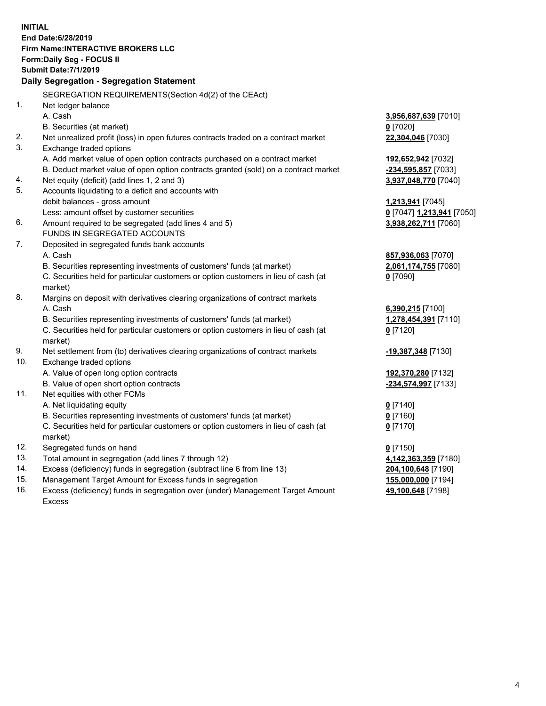**INITIAL End Date:6/28/2019 Firm Name:INTERACTIVE BROKERS LLC Form:Daily Seg - FOCUS II Submit Date:7/1/2019 Daily Segregation - Segregation Statement** SEGREGATION REQUIREMENTS(Section 4d(2) of the CEAct) 1. Net ledger balance A. Cash **3,956,687,639** [7010] B. Securities (at market) **0** [7020] 2. Net unrealized profit (loss) in open futures contracts traded on a contract market **22,304,046** [7030] 3. Exchange traded options A. Add market value of open option contracts purchased on a contract market **192,652,942** [7032] B. Deduct market value of open option contracts granted (sold) on a contract market **-234,595,857** [7033] 4. Net equity (deficit) (add lines 1, 2 and 3) **3,937,048,770** [7040] 5. Accounts liquidating to a deficit and accounts with debit balances - gross amount **1,213,941** [7045] Less: amount offset by customer securities **0** [7047] **1,213,941** [7050] 6. Amount required to be segregated (add lines 4 and 5) **3,938,262,711** [7060] FUNDS IN SEGREGATED ACCOUNTS 7. Deposited in segregated funds bank accounts A. Cash **857,936,063** [7070] B. Securities representing investments of customers' funds (at market) **2,061,174,755** [7080] C. Securities held for particular customers or option customers in lieu of cash (at market) **0** [7090] 8. Margins on deposit with derivatives clearing organizations of contract markets A. Cash **6,390,215** [7100] B. Securities representing investments of customers' funds (at market) **1,278,454,391** [7110] C. Securities held for particular customers or option customers in lieu of cash (at market) **0** [7120] 9. Net settlement from (to) derivatives clearing organizations of contract markets **-19,387,348** [7130] 10. Exchange traded options A. Value of open long option contracts **192,370,280** [7132] B. Value of open short option contracts **-234,574,997** [7133] 11. Net equities with other FCMs A. Net liquidating equity **0** [7140] B. Securities representing investments of customers' funds (at market) **0** [7160] C. Securities held for particular customers or option customers in lieu of cash (at market) **0** [7170] 12. Segregated funds on hand **0** [7150] 13. Total amount in segregation (add lines 7 through 12) **4,142,363,359** [7180] 14. Excess (deficiency) funds in segregation (subtract line 6 from line 13) **204,100,648** [7190] 15. Management Target Amount for Excess funds in segregation **155,000,000** [7194]

16. Excess (deficiency) funds in segregation over (under) Management Target Amount Excess

**49,100,648** [7198]